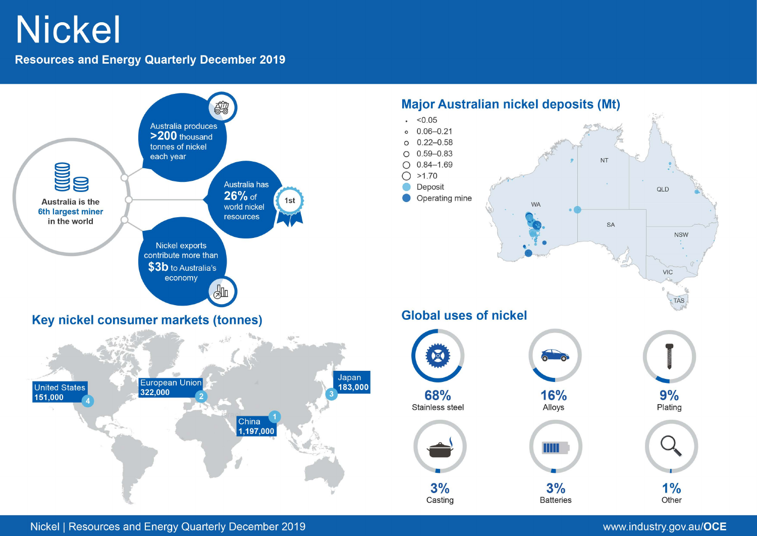# **Nickel**

**Resources and Energy Quarterly December 2019** 



Nickel | Resources and Energy Quarterly December 2019

## www.industry.gov.au/OCE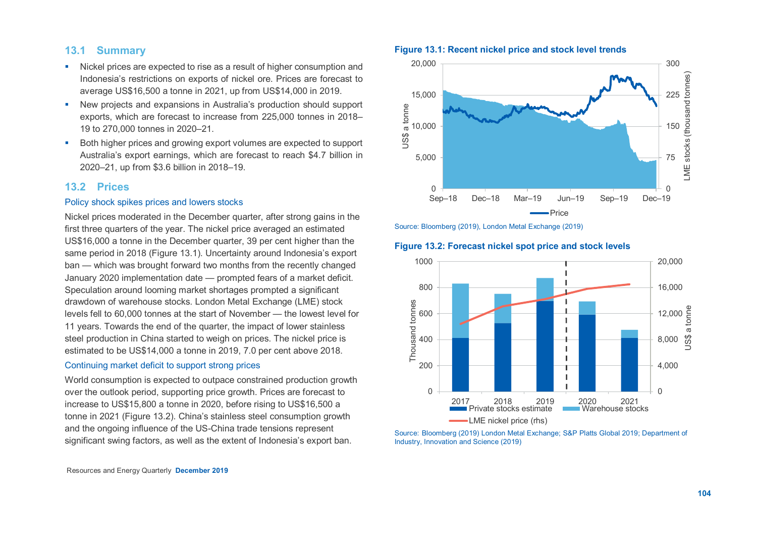## **13.1 Summary**

- Nickel prices are expected to rise as a result of higher consumption and Indonesia's restrictions on exports of nickel ore. Prices are forecast to average US\$16,500 a tonne in 2021, up from US\$14,000 in 2019.
- New projects and expansions in Australia's production should support exports, which are forecast to increase from 225,000 tonnes in 2018– 19 to 270,000 tonnes in 2020–21.
- Both higher prices and growing export volumes are expected to support Australia's export earnings, which are forecast to reach \$4.7 billion in 2020–21, up from \$3.6 billion in 2018–19.

## **13.2 Prices**

#### Policy shock spikes prices and lowers stocks

Nickel prices moderated in the December quarter, after strong gains in the first three quarters of the year. The nickel price averaged an estimated US\$16,000 a tonne in the December quarter, 39 per cent higher than the same period in 2018 (Figure 13.1). Uncertainty around Indonesia's export ban — which was brought forward two months from the recently changed January 2020 implementation date — prompted fears of a market deficit. Speculation around looming market shortages prompted a significant drawdown of warehouse stocks. London Metal Exchange (LME) stock levels fell to 60,000 tonnes at the start of November — the lowest level for 11 years. Towards the end of the quarter, the impact of lower stainless steel production in China started to weigh on prices. The nickel price is estimated to be US\$14,000 a tonne in 2019, 7.0 per cent above 2018.

#### Continuing market deficit to support strong prices

World consumption is expected to outpace constrained production growth over the outlook period, supporting price growth. Prices are forecast to increase to US\$15,800 a tonne in 2020, before rising to US\$16,500 a tonne in 2021 (Figure 13.2). China's stainless steel consumption growth and the ongoing influence of the US-China trade tensions represent significant swing factors, as well as the extent of Indonesia's export ban.

#### **Figure 13.1: Recent nickel price and stock level trends**



Source: Bloomberg (2019), London Metal Exchange (2019)

## **Figure 13.2: Forecast nickel spot price and stock levels**



Source: Bloomberg (2019) London Metal Exchange; S&P Platts Global 2019; Department of Industry, Innovation and Science (2019)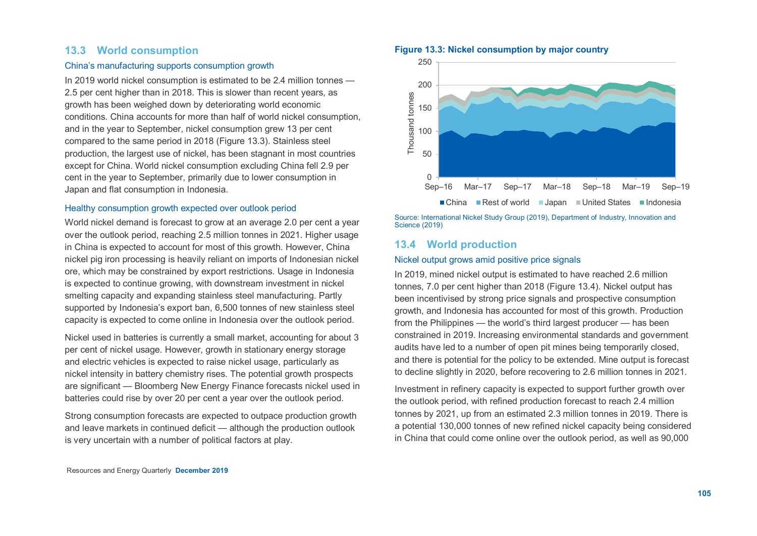## **13.3 World consumption**

## China's manufacturing supports consumption growth

In 2019 world nickel consumption is estimated to be 2.4 million tonnes — 2.5 per cent higher than in 2018. This is slower than recent years, as growth has been weighed down by deteriorating world economic conditions. China accounts for more than half of world nickel consumption, and in the year to September, nickel consumption grew 13 per cent compared to the same period in 2018 (Figure 13.3). Stainless steel production, the largest use of nickel, has been stagnant in most countries except for China. World nickel consumption excluding China fell 2.9 per cent in the year to September, primarily due to lower consumption in Japan and flat consumption in Indonesia.

#### Healthy consumption growth expected over outlook period

World nickel demand is forecast to grow at an average 2.0 per cent a year over the outlook period, reaching 2.5 million tonnes in 2021. Higher usage in China is expected to account for most of this growth. However, China nickel pig iron processing is heavily reliant on imports of Indonesian nickel ore, which may be constrained by export restrictions. Usage in Indonesia is expected to continue growing, with downstream investment in nickel smelting capacity and expanding stainless steel manufacturing. Partly supported by Indonesia's export ban, 6,500 tonnes of new stainless steel capacity is expected to come online in Indonesia over the outlook period.

Nickel used in batteries is currently a small market, accounting for about 3 per cent of nickel usage. However, growth in stationary energy storage and electric vehicles is expected to raise nickel usage, particularly as nickel intensity in battery chemistry rises. The potential growth prospects are significant — Bloomberg New Energy Finance forecasts nickel used in batteries could rise by over 20 per cent a year over the outlook period.

Strong consumption forecasts are expected to outpace production growth and leave markets in continued deficit — although the production outlook is very uncertain with a number of political factors at play.

#### **Figure 13.3: Nickel consumption by major country**



■ China ■ Rest of world ■ Japan ■ United States ■ Indonesia

Source: International Nickel Study Group (2019), Department of Industry, Innovation and Science (2019)

## **13.4 World production**

#### Nickel output grows amid positive price signals

In 2019, mined nickel output is estimated to have reached 2.6 million tonnes, 7.0 per cent higher than 2018 (Figure 13.4). Nickel output has been incentivised by strong price signals and prospective consumption growth, and Indonesia has accounted for most of this growth. Production from the Philippines — the world's third largest producer — has been constrained in 2019. Increasing environmental standards and government audits have led to a number of open pit mines being temporarily closed, and there is potential for the policy to be extended. Mine output is forecast to decline slightly in 2020, before recovering to 2.6 million tonnes in 2021.

Investment in refinery capacity is expected to support further growth over the outlook period, with refined production forecast to reach 2.4 million tonnes by 2021, up from an estimated 2.3 million tonnes in 2019. There is a potential 130,000 tonnes of new refined nickel capacity being considered in China that could come online over the outlook period, as well as 90,000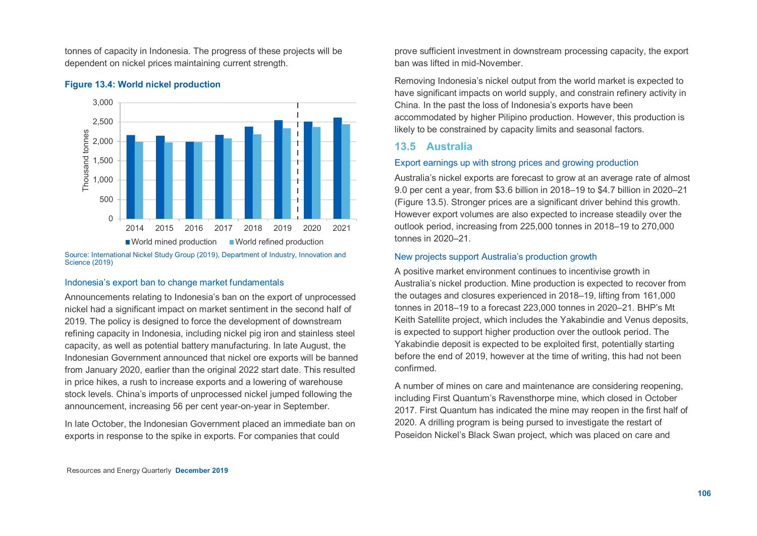tonnes of capacity in Indonesia. The progress of these projects will be dependent on nickel prices maintaining current strength.



#### **Figure 13.4: World nickel production**

Source: International Nickel Study Group (2019), Department of Industry, Innovation and Science (2019)

#### Indonesia's export ban to change market fundamentals

Announcements relating to Indonesia's ban on the export of unprocessed nickel had a significant impact on market sentiment in the second half of 2019. The policy is designed to force the development of downstream refining capacity in Indonesia, including nickel pig iron and stainless steel capacity, as well as potential battery manufacturing. In late August, the Indonesian Government announced that nickel ore exports will be banned from January 2020, earlier than the original 2022 start date. This resulted in price hikes, a rush to increase exports and a lowering of warehouse stock levels. China's imports of unprocessed nickel jumped following the announcement, increasing 56 per cent year-on-year in September.

In late October, the Indonesian Government placed an immediate ban on exports in response to the spike in exports. For companies that could

prove sufficient investment in downstream processing capacity, the export ban was lifted in mid-November.

Removing Indonesia's nickel output from the world market is expected to have significant impacts on world supply, and constrain refinery activity in China. In the past the loss of Indonesia's exports have been accommodated by higher Pilipino production. However, this production is likely to be constrained by capacity limits and seasonal factors.

## **13.5 Australia**

## Export earnings up with strong prices and growing production

Australia's nickel exports are forecast to grow at an average rate of almost 9.0 per cent a year, from \$3.6 billion in 2018–19 to \$4.7 billion in 2020–21 (Figure 13.5). Stronger prices are a significant driver behind this growth. However export volumes are also expected to increase steadily over the outlook period, increasing from 225,000 tonnes in 2018–19 to 270,000 tonnes in 2020–21.

### New projects support Australia's production growth

A positive market environment continues to incentivise growth in Australia's nickel production. Mine production is expected to recover from the outages and closures experienced in 2018–19, lifting from 161,000 tonnes in 2018–19 to a forecast 223,000 tonnes in 2020–21. BHP's Mt Keith Satellite project, which includes the Yakabindie and Venus deposits, is expected to support higher production over the outlook period. The Yakabindie deposit is expected to be exploited first, potentially starting before the end of 2019, however at the time of writing, this had not been confirmed.

A number of mines on care and maintenance are considering reopening, including First Quantum's Ravensthorpe mine, which closed in October 2017. First Quantum has indicated the mine may reopen in the first half of 2020. A drilling program is being pursed to investigate the restart of Poseidon Nickel's Black Swan project, which was placed on care and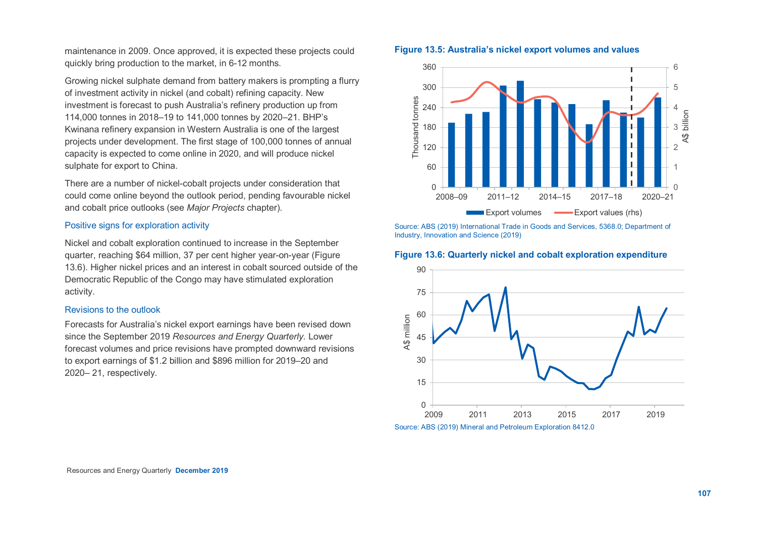maintenance in 2009. Once approved, it is expected these projects could quickly bring production to the market, in 6-12 months.

Growing nickel sulphate demand from battery makers is prompting a flurry of investment activity in nickel (and cobalt) refining capacity. New investment is forecast to push Australia's refinery production up from 114,000 tonnes in 2018–19 to 141,000 tonnes by 2020–21. BHP's Kwinana refinery expansion in Western Australia is one of the largest projects under development. The first stage of 100,000 tonnes of annual capacity is expected to come online in 2020, and will produce nickel sulphate for export to China.

There are a number of nickel-cobalt projects under consideration that could come online beyond the outlook period, pending favourable nickel and cobalt price outlooks (see *Major Projects* chapter).

#### Positive signs for exploration activity

Nickel and cobalt exploration continued to increase in the September quarter, reaching \$64 million, 37 per cent higher year-on-year (Figure 13.6). Higher nickel prices and an interest in cobalt sourced outside of the Democratic Republic of the Congo may have stimulated exploration activity.

#### Revisions to the outlook

Forecasts for Australia's nickel export earnings have been revised down since the September 2019 *Resources and Energy Quarterly.* Lower forecast volumes and price revisions have prompted downward revisions to export earnings of \$1.2 billion and \$896 million for 2019–20 and 2020– 21, respectively.

#### **Figure 13.5: Australia's nickel export volumes and values**



Source: ABS (2019) International Trade in Goods and Services, 5368.0; Department of Industry, Innovation and Science (2019)

#### **Figure 13.6: Quarterly nickel and cobalt exploration expenditure**